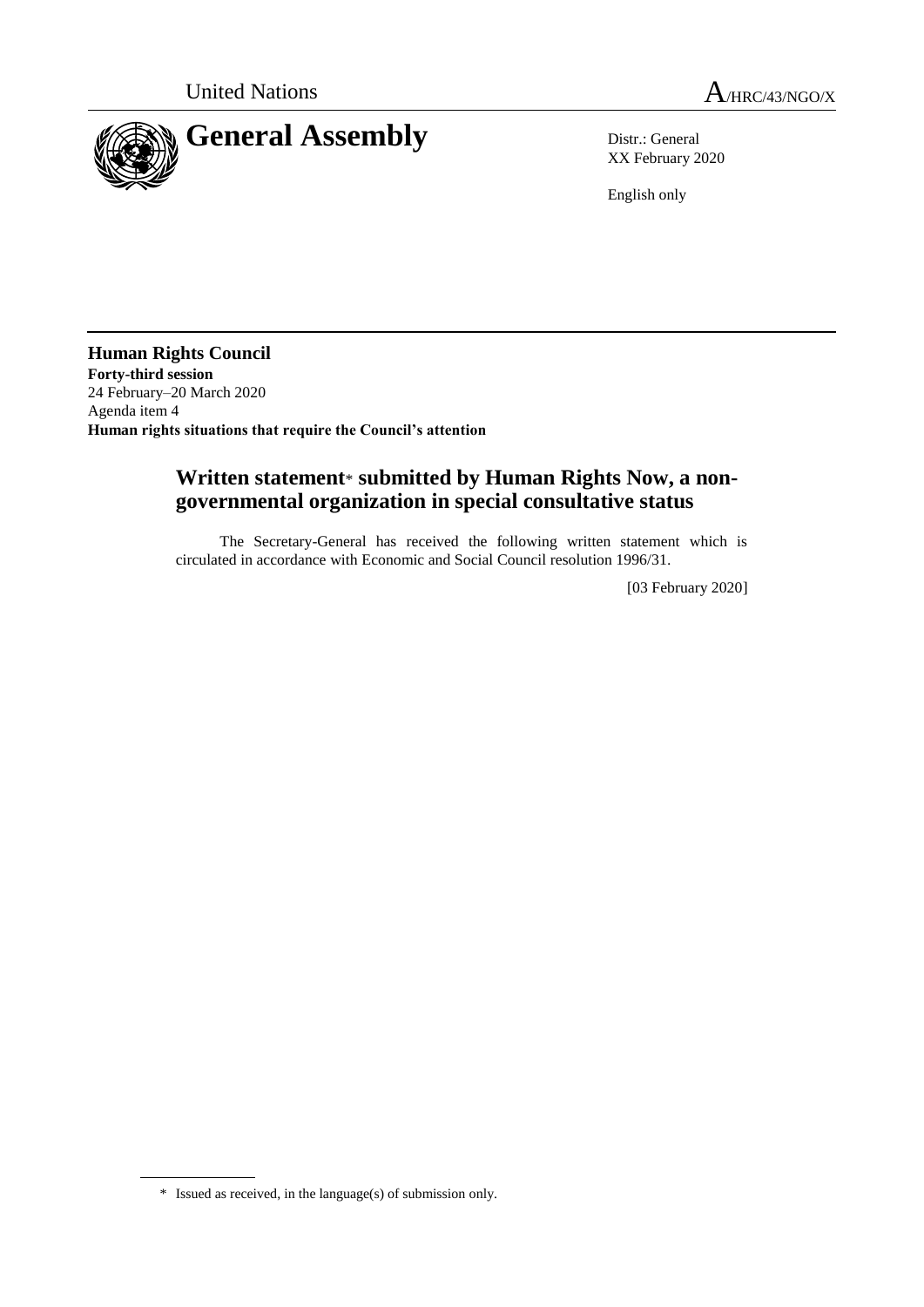

XX February 2020

English only

**Human Rights Council Forty-third session** 24 February–20 March 2020 Agenda item 4 **Human rights situations that require the Council's attention**

# **Written statement**\* **submitted by Human Rights Now, a nongovernmental organization in special consultative status**

The Secretary-General has received the following written statement which is circulated in accordance with Economic and Social Council resolution 1996/31.

[03 February 2020]

<sup>\*</sup> Issued as received, in the language(s) of submission only.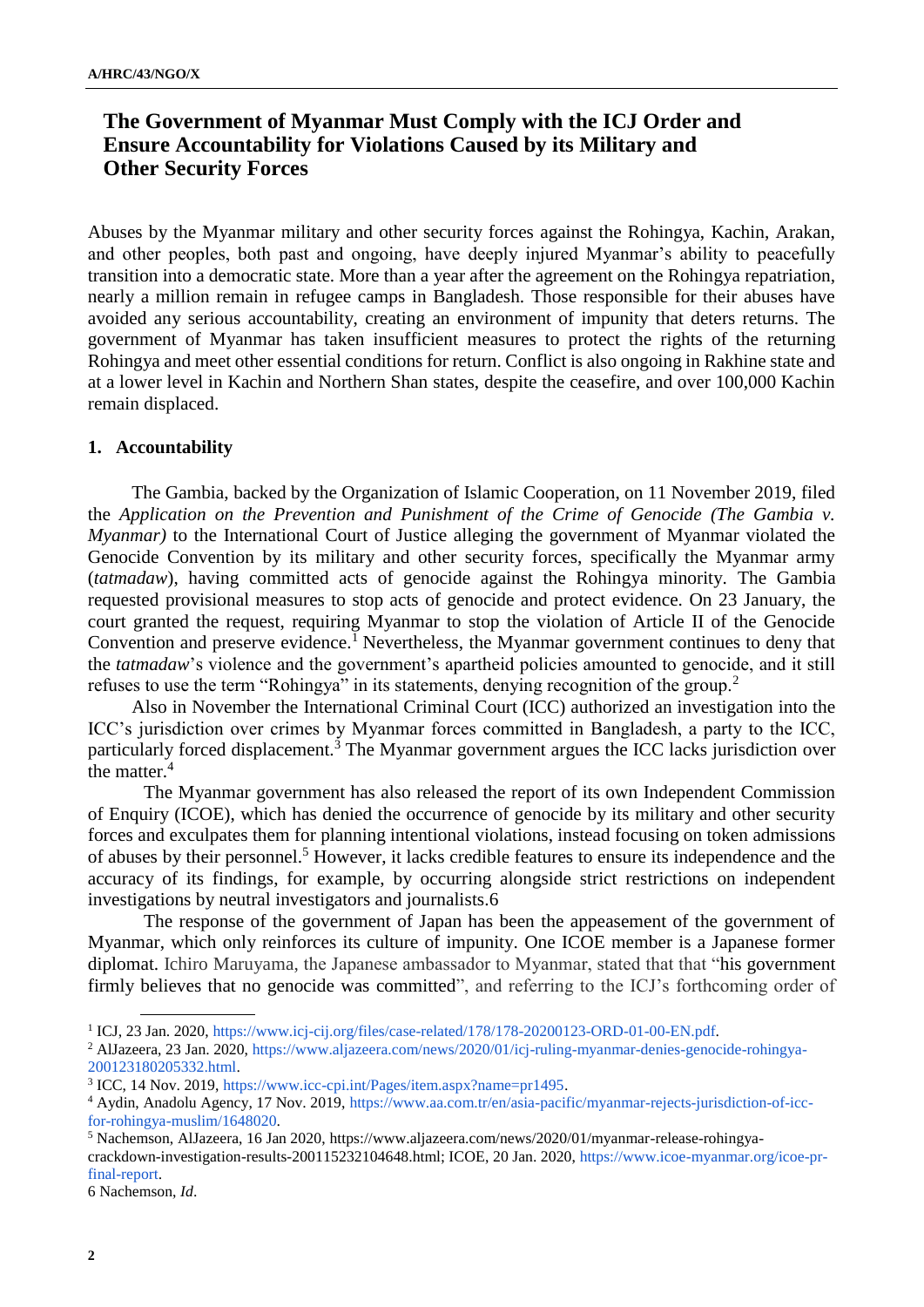# **The Government of Myanmar Must Comply with the ICJ Order and Ensure Accountability for Violations Caused by its Military and Other Security Forces**

Abuses by the Myanmar military and other security forces against the Rohingya, Kachin, Arakan, and other peoples, both past and ongoing, have deeply injured Myanmar's ability to peacefully transition into a democratic state. More than a year after the agreement on the Rohingya repatriation, nearly a million remain in refugee camps in Bangladesh. Those responsible for their abuses have avoided any serious accountability, creating an environment of impunity that deters returns. The government of Myanmar has taken insufficient measures to protect the rights of the returning Rohingya and meet other essential conditions for return. Conflict is also ongoing in Rakhine state and at a lower level in Kachin and Northern Shan states, despite the ceasefire, and over 100,000 Kachin remain displaced.

### **1. Accountability**

The Gambia, backed by the Organization of Islamic Cooperation, on 11 November 2019, filed the *Application on the Prevention and Punishment of the Crime of Genocide (The Gambia v. Myanmar)* to the International Court of Justice alleging the government of Myanmar violated the Genocide Convention by its military and other security forces, specifically the Myanmar army (*tatmadaw*), having committed acts of genocide against the Rohingya minority. The Gambia requested provisional measures to stop acts of genocide and protect evidence. On 23 January, the court granted the request, requiring Myanmar to stop the violation of Article II of the Genocide Convention and preserve evidence.<sup>1</sup> Nevertheless, the Myanmar government continues to deny that the *tatmadaw*'s violence and the government's apartheid policies amounted to genocide, and it still refuses to use the term "Rohingya" in its statements, denying recognition of the group.<sup>2</sup>

Also in November the International Criminal Court (ICC) authorized an investigation into the ICC's jurisdiction over crimes by Myanmar forces committed in Bangladesh, a party to the ICC, particularly forced displacement.<sup>3</sup> The Myanmar government argues the ICC lacks jurisdiction over the matter.<sup>4</sup>

The Myanmar government has also released the report of its own Independent Commission of Enquiry (ICOE), which has denied the occurrence of genocide by its military and other security forces and exculpates them for planning intentional violations, instead focusing on token admissions of abuses by their personnel.<sup>5</sup> However, it lacks credible features to ensure its independence and the accuracy of its findings, for example, by occurring alongside strict restrictions on independent investigations by neutral investigators and journalists.6

The response of the government of Japan has been the appeasement of the government of Myanmar, which only reinforces its culture of impunity. One ICOE member is a Japanese former diplomat. Ichiro Maruyama, the Japanese ambassador to Myanmar, stated that that "his government firmly believes that no genocide was committed", and referring to the ICJ's forthcoming order of

6 Nachemson, *Id*.

<sup>&</sup>lt;sup>1</sup> ICJ, 23 Jan. 2020, [https://www.icj-cij.org/files/case-related/178/178-20200123-ORD-01-00-EN.pdf.](https://www.icj-cij.org/files/case-related/178/178-20200123-ORD-01-00-EN.pdf)

<sup>2</sup> AlJazeera, 23 Jan. 2020[, https://www.aljazeera.com/news/2020/01/icj-ruling-myanmar-denies-genocide-rohingya-](https://www.aljazeera.com/news/2020/01/icj-ruling-myanmar-denies-genocide-rohingya-200123180205332.html)[200123180205332.html.](https://www.aljazeera.com/news/2020/01/icj-ruling-myanmar-denies-genocide-rohingya-200123180205332.html)

<sup>3</sup> ICC, 14 Nov. 2019, [https://www.icc-cpi.int/Pages/item.aspx?name=pr1495.](https://www.icc-cpi.int/Pages/item.aspx?name=pr1495)

<sup>4</sup> Aydin, Anadolu Agency, 17 Nov. 2019, [https://www.aa.com.tr/en/asia-pacific/myanmar-rejects-jurisdiction-of-icc](https://www.aa.com.tr/en/asia-pacific/myanmar-rejects-jurisdiction-of-icc-for-rohingya-muslim/1648020)[for-rohingya-muslim/1648020.](https://www.aa.com.tr/en/asia-pacific/myanmar-rejects-jurisdiction-of-icc-for-rohingya-muslim/1648020)

<sup>5</sup> Nachemson, AlJazeera, 16 Jan 2020, [https://www.aljazeera.com/news/2020/01/myanmar-release-rohingya](https://www.aljazeera.com/news/2020/01/myanmar-release-rohingya-crackdown-investigation-results-200115232104648.html)[crackdown-investigation-results-200115232104648.html;](https://www.aljazeera.com/news/2020/01/myanmar-release-rohingya-crackdown-investigation-results-200115232104648.html) ICOE, 20 Jan. 2020[, https://www.icoe-myanmar.org/icoe-pr](https://www.icoe-myanmar.org/icoe-pr-final-report)[final-report.](https://www.icoe-myanmar.org/icoe-pr-final-report)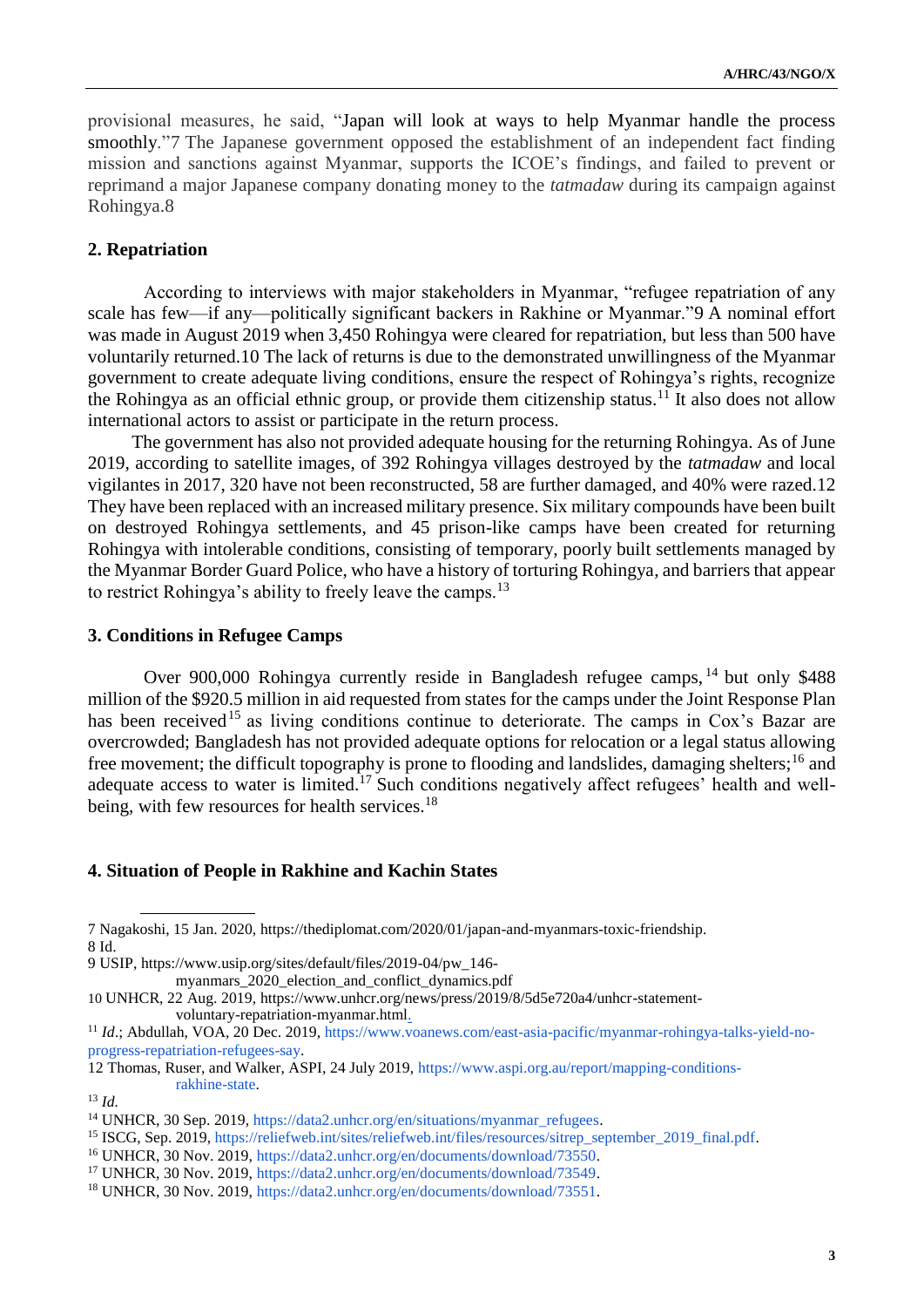provisional measures, he said, "Japan will look at ways to help Myanmar handle the process smoothly."7 The Japanese government opposed the establishment of an independent fact finding mission and sanctions against Myanmar, supports the ICOE's findings, and failed to prevent or reprimand a major Japanese company donating money to the *tatmadaw* during its campaign against Rohingya.8

### **2. Repatriation**

According to interviews with major stakeholders in Myanmar, "refugee repatriation of any scale has few—if any—politically significant backers in Rakhine or Myanmar."9 A nominal effort was made in August 2019 when 3,450 Rohingya were cleared for repatriation, but less than 500 have voluntarily returned.10 The lack of returns is due to the demonstrated unwillingness of the Myanmar government to create adequate living conditions, ensure the respect of Rohingya's rights, recognize the Rohingya as an official ethnic group, or provide them citizenship status.<sup>11</sup> It also does not allow international actors to assist or participate in the return process.

The government has also not provided adequate housing for the returning Rohingya. As of June 2019, according to satellite images, of 392 Rohingya villages destroyed by the *tatmadaw* and local vigilantes in 2017, 320 have not been reconstructed, 58 are further damaged, and 40% were razed.12 They have been replaced with an increased military presence. Six military compounds have been built on destroyed Rohingya settlements, and 45 prison-like camps have been created for returning Rohingya with intolerable conditions, consisting of temporary, poorly built settlements managed by the Myanmar Border Guard Police, who have a history of torturing Rohingya, and barriers that appear to restrict Rohingya's ability to freely leave the camps.<sup>13</sup>

#### **3. Conditions in Refugee Camps**

Over 900,000 Rohingya currently reside in Bangladesh refugee camps, <sup>14</sup> but only \$488 million of the \$920.5 million in aid requested from states for the camps under the Joint Response Plan has been received<sup>15</sup> as living conditions continue to deteriorate. The camps in Cox's Bazar are overcrowded; Bangladesh has not provided adequate options for relocation or a legal status allowing free movement; the difficult topography is prone to flooding and landslides, damaging shelters;<sup>16</sup> and adequate access to water is limited.<sup>17</sup> Such conditions negatively affect refugees' health and wellbeing, with few resources for health services.<sup>18</sup>

#### **4. Situation of People in Rakhine and Kachin States**

<sup>7</sup> Nagakoshi, 15 Jan. 2020, [https://thediplomat.com/2020/01/japan-and-myanmars-toxic-friendship.](https://thediplomat.com/2020/01/japan-and-myanmars-toxic-friendship/?fbclid=IwAR1CC7Wj89Yy2r9SlByOOiAAFZ5UzZQFRtwrMUn9TTaGbVWwm5LTTZMVTLA) 8 Id.

<sup>9</sup> USIP, [https://www.usip.org/sites/default/files/2019-04/pw\\_146-](https://www.usip.org/sites/default/files/2019-04/pw_146-myanmars_2020_election_and_conflict_dynamics.pdf)

[myanmars\\_2020\\_election\\_and\\_conflict\\_dynamics.pdf](https://www.usip.org/sites/default/files/2019-04/pw_146-myanmars_2020_election_and_conflict_dynamics.pdf)

<sup>10</sup> UNHCR, 22 Aug. 2019[, https://www.unhcr.org/news/press/2019/8/5d5e720a4/unhcr-statement](https://www.unhcr.org/news/press/2019/8/5d5e720a4/unhcr-statement-voluntary-repatriation-myanmar.html)[voluntary-repatriation-myanmar.html.](https://www.unhcr.org/news/press/2019/8/5d5e720a4/unhcr-statement-voluntary-repatriation-myanmar.html)

<sup>11</sup> *Id*.; Abdullah, VOA, 20 Dec. 2019, [https://www.voanews.com/east-asia-pacific/myanmar-rohingya-talks-yield-no](https://www.voanews.com/east-asia-pacific/myanmar-rohingya-talks-yield-no-progress-repatriation-refugees-say)[progress-repatriation-refugees-say.](https://www.voanews.com/east-asia-pacific/myanmar-rohingya-talks-yield-no-progress-repatriation-refugees-say)

<sup>12</sup> Thomas, Ruser, and Walker, ASPI, 24 July 2019, [https://www.aspi.org.au/report/mapping-conditions](https://www.aspi.org.au/report/mapping-conditions-rakhine-state)[rakhine-state.](https://www.aspi.org.au/report/mapping-conditions-rakhine-state)

<sup>13</sup> *Id.*

<sup>&</sup>lt;sup>14</sup> UNHCR, 30 Sep. 2019, [https://data2.unhcr.org/en/situations/myanmar\\_refugees.](https://data2.unhcr.org/en/situations/myanmar_refugees)

<sup>15</sup> ISCG, Sep. 2019, [https://reliefweb.int/sites/reliefweb.int/files/resources/sitrep\\_september\\_2019\\_final.pdf.](https://reliefweb.int/sites/reliefweb.int/files/resources/sitrep_september_2019_final.pdf)

<sup>16</sup> UNHCR, 30 Nov. 2019, [https://data2.unhcr.org/en/documents/download/73550.](https://data2.unhcr.org/en/documents/download/73550)

<sup>&</sup>lt;sup>17</sup> UNHCR, 30 Nov. 2019, [https://data2.unhcr.org/en/documents/download/73549.](https://data2.unhcr.org/en/documents/download/73549)

<sup>18</sup> UNHCR, 30 Nov. 2019, [https://data2.unhcr.org/en/documents/download/73551.](https://data2.unhcr.org/en/documents/download/73551)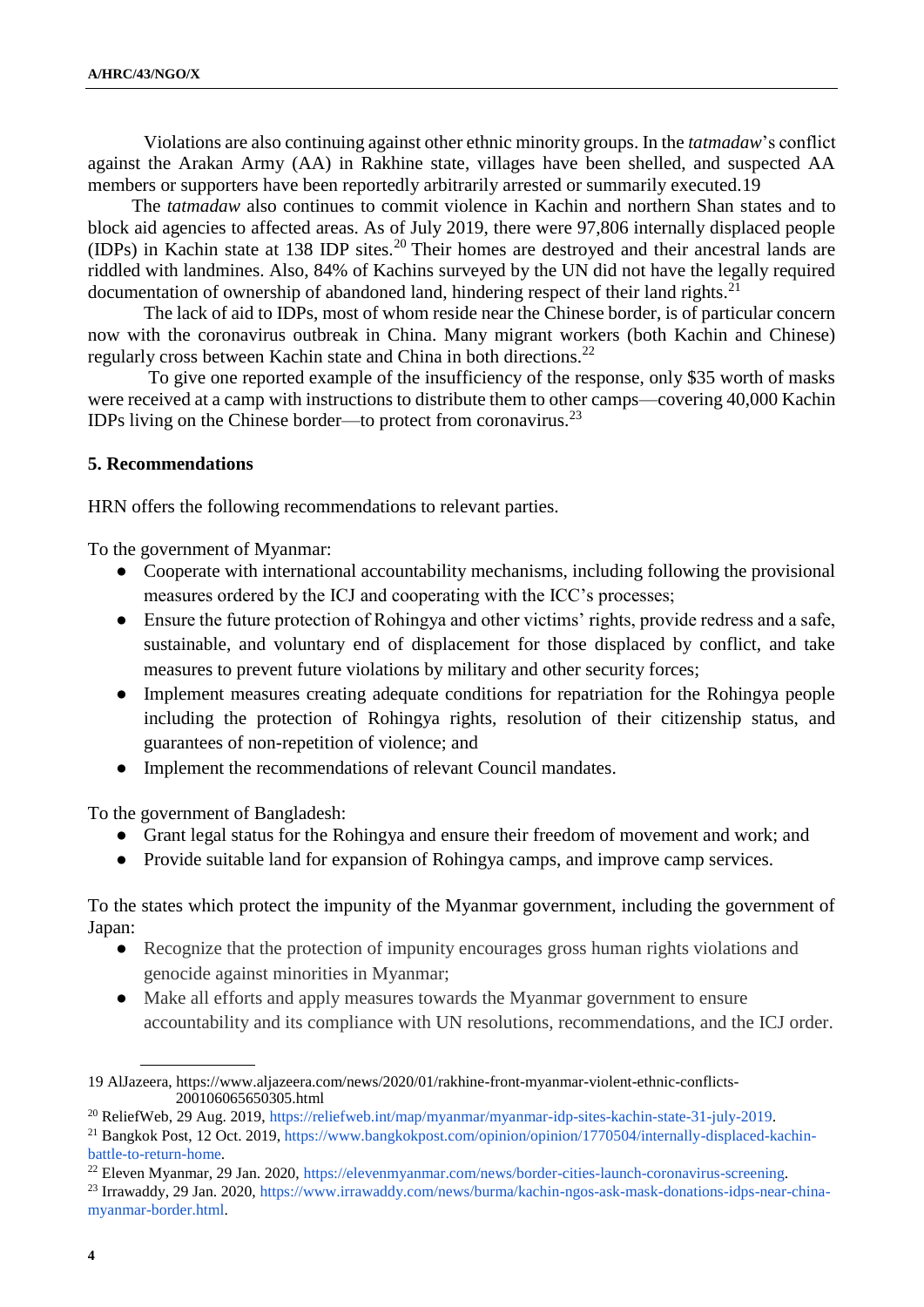Violations are also continuing against other ethnic minority groups. In the *tatmadaw*'s conflict against the Arakan Army (AA) in Rakhine state, villages have been shelled, and suspected AA members or supporters have been reportedly arbitrarily arrested or summarily executed.19

The *tatmadaw* also continues to commit violence in Kachin and northern Shan states and to block aid agencies to affected areas. As of July 2019, there were 97,806 internally displaced people (IDPs) in Kachin state at 138 IDP sites.<sup>20</sup> Their homes are destroyed and their ancestral lands are riddled with landmines. Also, 84% of Kachins surveyed by the UN did not have the legally required documentation of ownership of abandoned land, hindering respect of their land rights. $21$ 

The lack of aid to IDPs, most of whom reside near the Chinese border, is of particular concern now with the coronavirus outbreak in China. Many migrant workers (both Kachin and Chinese) regularly cross between Kachin state and China in both directions.<sup>22</sup>

To give one reported example of the insufficiency of the response, only \$35 worth of masks were received at a camp with instructions to distribute them to other camps—covering 40,000 Kachin IDPs living on the Chinese border—to protect from coronavirus.<sup>23</sup>

### **5. Recommendations**

HRN offers the following recommendations to relevant parties.

To the government of Myanmar:

- Cooperate with international accountability mechanisms, including following the provisional measures ordered by the ICJ and cooperating with the ICC's processes;
- Ensure the future protection of Rohingya and other victims' rights, provide redress and a safe, sustainable, and voluntary end of displacement for those displaced by conflict, and take measures to prevent future violations by military and other security forces;
- Implement measures creating adequate conditions for repatriation for the Rohingya people including the protection of Rohingya rights, resolution of their citizenship status, and guarantees of non-repetition of violence; and
- Implement the recommendations of relevant Council mandates.

To the government of Bangladesh:

- Grant legal status for the Rohingya and ensure their freedom of movement and work; and
- Provide suitable land for expansion of Rohingya camps, and improve camp services.

To the states which protect the impunity of the Myanmar government, including the government of Japan:

- Recognize that the protection of impunity encourages gross human rights violations and genocide against minorities in Myanmar;
- Make all efforts and apply measures towards the Myanmar government to ensure accountability and its compliance with UN resolutions, recommendations, and the ICJ order.

<sup>19</sup> AlJazeera[, https://www.aljazeera.com/news/2020/01/rakhine-front-myanmar-violent-ethnic-conflicts-](https://www.aljazeera.com/news/2020/01/rakhine-front-myanmar-violent-ethnic-conflicts-200106065650305.html)[200106065650305.html](https://www.aljazeera.com/news/2020/01/rakhine-front-myanmar-violent-ethnic-conflicts-200106065650305.html)

<sup>20</sup> ReliefWeb, 29 Aug. 2019[, https://reliefweb.int/map/myanmar/myanmar-idp-sites-kachin-state-31-july-2019.](https://reliefweb.int/map/myanmar/myanmar-idp-sites-kachin-state-31-july-2019)

<sup>&</sup>lt;sup>21</sup> Bangkok Post, 12 Oct. 2019, [https://www.bangkokpost.com/opinion/opinion/1770504/internally-displaced-kachin](https://www.bangkokpost.com/opinion/opinion/1770504/internally-displaced-kachin-battle-to-return-home)[battle-to-return-home.](https://www.bangkokpost.com/opinion/opinion/1770504/internally-displaced-kachin-battle-to-return-home)

<sup>22</sup> Eleven Myanmar, 29 Jan. 2020[, https://elevenmyanmar.com/news/border-cities-launch-coronavirus-screening.](https://elevenmyanmar.com/news/border-cities-launch-coronavirus-screening)

<sup>23</sup> Irrawaddy, 29 Jan. 2020, [https://www.irrawaddy.com/news/burma/kachin-ngos-ask-mask-donations-idps-near-china](https://www.irrawaddy.com/news/burma/kachin-ngos-ask-mask-donations-idps-near-china-myanmar-border.html)[myanmar-border.html.](https://www.irrawaddy.com/news/burma/kachin-ngos-ask-mask-donations-idps-near-china-myanmar-border.html)